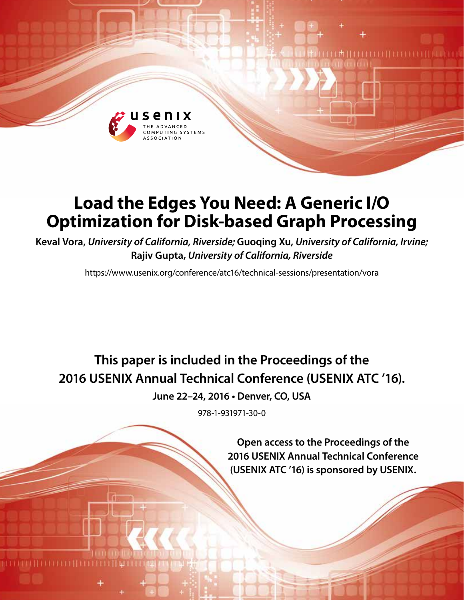

# **Load the Edges You Need: A Generic I/O Optimization for Disk-based Graph Processing**

**Keval Vora,** *University of California, Riverside;* **Guoqing Xu,** *University of California, Irvine;* **Rajiv Gupta,** *University of California, Riverside*

https://www.usenix.org/conference/atc16/technical-sessions/presentation/vora

**This paper is included in the Proceedings of the 2016 USENIX Annual Technical Conference (USENIX ATC '16).**

**June 22–24, 2016 • Denver, CO, USA**

978-1-931971-30-0

**Open access to the Proceedings of the 2016 USENIX Annual Technical Conference (USENIX ATC '16) is sponsored by USENIX.**

**TITTITITITITI** 

1再111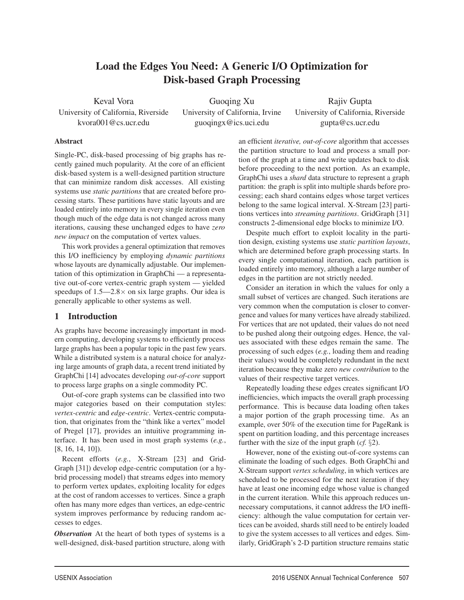## Load the Edges You Need: A Generic I/O Optimization for Disk-based Graph Processing

Keval Vora University of California, Riverside kvora001@cs.ucr.edu

Guoqing Xu University of California, Irvine guoqingx@ics.uci.edu

Rajiv Gupta University of California, Riverside gupta@cs.ucr.edu

#### Abstract

Single-PC, disk-based processing of big graphs has recently gained much popularity. At the core of an efficient disk-based system is a well-designed partition structure that can minimize random disk accesses. All existing systems use *static partitions* that are created before processing starts. These partitions have static layouts and are loaded entirely into memory in every single iteration even though much of the edge data is not changed across many iterations, causing these unchanged edges to have *zero new impact* on the computation of vertex values.

This work provides a general optimization that removes this I/O inefficiency by employing *dynamic partitions* whose layouts are dynamically adjustable. Our implementation of this optimization in GraphChi — a representative out-of-core vertex-centric graph system — yielded speedups of  $1.5 - 2.8 \times$  on six large graphs. Our idea is generally applicable to other systems as well.

## 1 Introduction

As graphs have become increasingly important in modern computing, developing systems to efficiently process large graphs has been a popular topic in the past few years. While a distributed system is a natural choice for analyzing large amounts of graph data, a recent trend initiated by GraphChi [14] advocates developing *out-of-core* support to process large graphs on a single commodity PC.

Out-of-core graph systems can be classified into two major categories based on their computation styles: *vertex-centric* and *edge-centric*. Vertex-centric computation, that originates from the "think like a vertex" model of Pregel [17], provides an intuitive programming interface. It has been used in most graph systems (*e.g.*, [8, 16, 14, 10]).

Recent efforts (*e.g.*, X-Stream [23] and Grid-Graph [31]) develop edge-centric computation (or a hybrid processing model) that streams edges into memory to perform vertex updates, exploiting locality for edges at the cost of random accesses to vertices. Since a graph often has many more edges than vertices, an edge-centric system improves performance by reducing random accesses to edges.

*Observation* At the heart of both types of systems is a well-designed, disk-based partition structure, along with an efficient *iterative, out-of-core* algorithm that accesses the partition structure to load and process a small portion of the graph at a time and write updates back to disk before proceeding to the next portion. As an example, GraphChi uses a *shard* data structure to represent a graph partition: the graph is split into multiple shards before processing; each shard contains edges whose target vertices belong to the same logical interval. X-Stream [23] partitions vertices into *streaming partitions*. GridGraph [31] constructs 2-dimensional edge blocks to minimize I/O.

Despite much effort to exploit locality in the partition design, existing systems use *static partition layouts*, which are determined before graph processing starts. In every single computational iteration, each partition is loaded entirely into memory, although a large number of edges in the partition are not strictly needed.

Consider an iteration in which the values for only a small subset of vertices are changed. Such iterations are very common when the computation is closer to convergence and values for many vertices have already stabilized. For vertices that are not updated, their values do not need to be pushed along their outgoing edges. Hence, the values associated with these edges remain the same. The processing of such edges (*e.g.*, loading them and reading their values) would be completely redundant in the next iteration because they make zero *new contribution* to the values of their respective target vertices.

Repeatedly loading these edges creates significant I/O inefficiencies, which impacts the overall graph processing performance. This is because data loading often takes a major portion of the graph processing time. As an example, over 50% of the execution time for PageRank is spent on partition loading, and this percentage increases further with the size of the input graph (*cf.* §2).

However, none of the existing out-of-core systems can eliminate the loading of such edges. Both GraphChi and X-Stream support *vertex scheduling*, in which vertices are scheduled to be processed for the next iteration if they have at least one incoming edge whose value is changed in the current iteration. While this approach reduces unnecessary computations, it cannot address the I/O inefficiency: although the value computation for certain vertices can be avoided, shards still need to be entirely loaded to give the system accesses to all vertices and edges. Similarly, GridGraph's 2-D partition structure remains static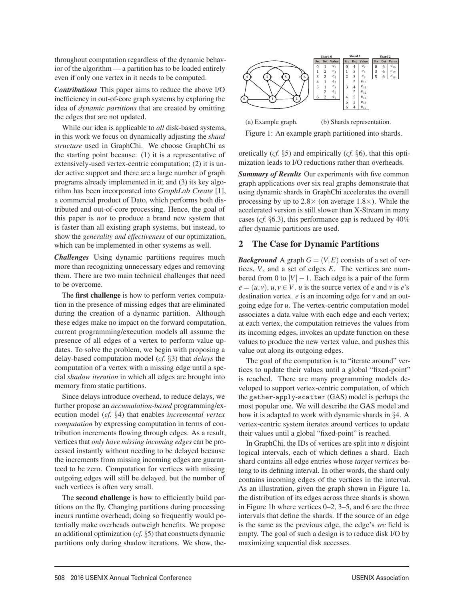throughout computation regardless of the dynamic behavior of the algorithm — a partition has to be loaded entirely even if only one vertex in it needs to be computed.

*Contributions* This paper aims to reduce the above I/O inefficiency in out-of-core graph systems by exploring the idea of *dynamic partitions* that are created by omitting the edges that are not updated.

While our idea is applicable to *all* disk-based systems, in this work we focus on dynamically adjusting the *shard structure* used in GraphChi. We choose GraphChi as the starting point because: (1) it is a representative of extensively-used vertex-centric computation; (2) it is under active support and there are a large number of graph programs already implemented in it; and (3) its key algorithm has been incorporated into *GraphLab Create* [1], a commercial product of Dato, which performs both distributed and out-of-core processing. Hence, the goal of this paper is *not* to produce a brand new system that is faster than all existing graph systems, but instead, to show the *generality and effectiveness* of our optimization, which can be implemented in other systems as well.

*Challenges* Using dynamic partitions requires much more than recognizing unnecessary edges and removing them. There are two main technical challenges that need to be overcome.

The first challenge is how to perform vertex computation in the presence of missing edges that are eliminated during the creation of a dynamic partition. Although these edges make no impact on the forward computation, current programming/execution models all assume the presence of all edges of a vertex to perform value updates. To solve the problem, we begin with proposing a delay-based computation model (*cf.* §3) that *delays* the computation of a vertex with a missing edge until a special *shadow iteration* in which all edges are brought into memory from static partitions.

Since delays introduce overhead, to reduce delays, we further propose an *accumulation-based* programming/execution model (*cf.* §4) that enables *incremental vertex computation* by expressing computation in terms of contribution increments flowing through edges. As a result, vertices that *only have missing incoming edges* can be processed instantly without needing to be delayed because the increments from missing incoming edges are guaranteed to be zero. Computation for vertices with missing outgoing edges will still be delayed, but the number of such vertices is often very small.

The **second challenge** is how to efficiently build partitions on the fly. Changing partitions during processing incurs runtime overhead; doing so frequently would potentially make overheads outweigh benefits. We propose an additional optimization (*cf.* §5) that constructs dynamic partitions only during shadow iterations. We show, the-



(a) Example graph. (b) Shards representation. Figure 1: An example graph partitioned into shards.

oretically (*cf.* §5) and empirically (*cf.* §6), that this optimization leads to I/O reductions rather than overheads.

*Summary of Results* Our experiments with five common graph applications over six real graphs demonstrate that using dynamic shards in GraphChi accelerates the overall processing by up to  $2.8 \times$  (on average 1.8 $\times$ ). While the accelerated version is still slower than X-Stream in many cases (*cf.* §6.3), this performance gap is reduced by 40% after dynamic partitions are used.

## 2 The Case for Dynamic Partitions

*Background* A graph  $G = (V, E)$  consists of a set of vertices, *V*, and a set of edges *E*. The vertices are numbered from 0 to  $|V| - 1$ . Each edge is a pair of the form  $e = (u, v), u, v \in V$ . *u* is the source vertex of *e* and *v* is *e*'s destination vertex. *e* is an incoming edge for *v* and an outgoing edge for *u*. The vertex-centric computation model associates a data value with each edge and each vertex; at each vertex, the computation retrieves the values from its incoming edges, invokes an update function on these values to produce the new vertex value, and pushes this value out along its outgoing edges.

The goal of the computation is to "iterate around" vertices to update their values until a global "fixed-point" is reached. There are many programming models developed to support vertex-centric computation, of which the gather-apply-scatter (GAS) model is perhaps the most popular one. We will describe the GAS model and how it is adapted to work with dynamic shards in §4. A vertex-centric system iterates around vertices to update their values until a global "fixed-point" is reached.

In GraphChi, the IDs of vertices are split into *n* disjoint logical intervals, each of which defines a shard. Each shard contains all edge entries whose *target vertices* belong to its defining interval. In other words, the shard only contains incoming edges of the vertices in the interval. As an illustration, given the graph shown in Figure 1a, the distribution of its edges across three shards is shown in Figure 1b where vertices 0–2, 3–5, and 6 are the three intervals that define the shards. If the source of an edge is the same as the previous edge, the edge's *src* field is empty. The goal of such a design is to reduce disk I/O by maximizing sequential disk accesses.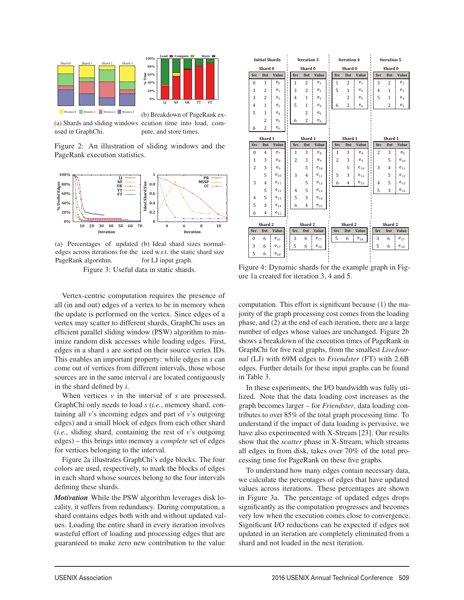



(a) Shards and sliding windows used in GraphChi.

(b) Breakdown of PageRank execution time into load, compute, and store times.

Figure 2: An illustration of sliding windows and the PageRank execution statistics.



(a) Percentages of updated (b) Ideal shard sizes normaledges across iterations for the ized w.r.t. the static shard size PageRank algorithm. for LJ input graph.

Figure 3: Useful data in static shards.

Vertex-centric computation requires the presence of all (in and out) edges of a vertex to be in memory when the update is performed on the vertex. Since edges of a vertex may scatter to different shards, GraphChi uses an efficient parallel sliding window (PSW) algorithm to minimize random disk accesses while loading edges. First, edges in a shard *s* are sorted on their source vertex IDs. This enables an important property: while edges in *s* can come out of vertices from different intervals, those whose sources are in the same interval *i* are located contiguously in the shard defined by *i*.

When vertices  $v$  in the interval of  $s$  are processed, GraphChi only needs to load *s* (*i.e.*, memory shard, containing all *v*'s incoming edges and part of *v*'s outgoing edges) and a small block of edges from each other shard (*i.e.*, sliding shard, containing the rest of *v*'s outgoing edges) – this brings into memory a *complete* set of edges for vertices belonging to the interval.

Figure 2a illustrates GraphChi's edge blocks. The four colors are used, respectively, to mark the blocks of edges in each shard whose sources belong to the four intervals defining these shards.

*Motivation* While the PSW algorithm leverages disk locality, it suffers from redundancy. During computation, a shard contains edges both with and without updated values. Loading the entire shard in every iteration involves wasteful effort of loading and processing edges that are guaranteed to make zero new contribution to the value

| <b>Initial Shards</b> |                |                   |                |                | <b>Iteration 3</b> |                |                    | <b>Iteration 4</b> |                |                   |   | <b>Iteration 5</b> |                |                |
|-----------------------|----------------|-------------------|----------------|----------------|--------------------|----------------|--------------------|--------------------|----------------|-------------------|---|--------------------|----------------|----------------|
|                       | Shard 0        |                   |                | Shard 0        |                    |                | Shard 0            |                    |                | Shard 0           |   |                    |                |                |
| Src                   | Dst            | Value             |                | Src            | <b>Dst</b>         | Value          |                    | Src                | <b>Dst</b>     | Value             |   | Src                | <b>Dst</b>     | Value          |
| $\Omega$              | 1              | $e_0$             |                | 1              | $\overline{c}$     | $e_1$          | f.                 | 1                  | $\overline{c}$ | e <sub>1</sub>    | ı | 3                  | $\overline{c}$ | e <sub>2</sub> |
| 1                     | $\overline{c}$ | $e_1$             |                | 3              | $\overline{c}$     | e <sub>2</sub> |                    | 5                  | 1              | $e_4$             |   | $\overline{4}$     | 1              | e <sub>3</sub> |
| 3                     | $\overline{c}$ | e <sub>2</sub>    |                | $\overline{4}$ | 1                  | e <sub>3</sub> | $\mathbf{I}$<br>f. |                    | $\overline{c}$ | e <sub>5</sub>    |   | 5                  | 1              | $e_4$          |
| $\overline{4}$        | $\mathbf{1}$   | $e_3$             |                | 5              | $\mathbf{1}$       | $e_4$          | Ĩ.<br>f.           | 6                  | $\overline{c}$ | e <sub>6</sub>    |   |                    | $\overline{c}$ | e <sub>5</sub> |
| 5                     | 1              | $e_4$             |                |                | $\overline{c}$     | e <sub>5</sub> |                    |                    |                |                   |   |                    |                |                |
|                       | $\overline{c}$ | e <sub>5</sub>    |                | 6              | $\overline{c}$     | e <sub>6</sub> |                    |                    |                |                   |   |                    |                |                |
| 6                     | $\overline{c}$ | $e_6$             |                |                |                    |                |                    |                    |                |                   |   |                    |                |                |
|                       | Shard 1        |                   |                |                | Shard 1            |                |                    |                    | Shard 1        |                   |   |                    | Shard 1        |                |
| <b>Src</b>            | <b>Dst</b>     | Value             |                | <b>Src</b>     | <b>Dst</b>         | Value          |                    | <b>Src</b>         | <b>Dst</b>     | Value             |   | <b>Src</b>         | <b>Dst</b>     | Value          |
| $\mathbf{0}$          | $\overline{4}$ | e <sub>7</sub>    |                | 1              | 3                  | $e_8$          |                    | 1                  | 3              | $e_8$             |   | $\overline{2}$     | 3              | $e_{q}$        |
| 1                     | 3              | $e_{\rm R}$       |                | $\overline{c}$ | 3                  | $e_q$          |                    | $\overline{c}$     | 3              | $e_q$             |   |                    | 5              | $e_{10}$       |
| $\overline{2}$        | 3              | e <sub>q</sub>    | п              |                | 5                  | $e_{10}$       |                    |                    | 5              | $e_{10}$          |   | 3                  | $\overline{4}$ | $e_{11}$       |
|                       | 5              | $e_{10}$          | ×              | 3              | $\overline{4}$     | $e_{11}$       |                    | 5                  | 3              | $e_{14}$          |   |                    | 5              | $e_{12}$       |
| 3                     | $\overline{4}$ | $e_{11}$          |                |                | 5                  | $e_{12}$       |                    | 6                  | $\overline{4}$ | $e_{15}$          |   | 4                  | 5              | $e_{13}$       |
|                       | 5              | $e_{12}$          |                | $\overline{4}$ | 5                  | $e_{13}$       |                    |                    |                |                   |   | 5                  | 3              | $e_{14}$       |
| $\overline{4}$        | 5              | $e_{13}$          |                | 5              | 3                  | $e_{14}$       |                    |                    |                |                   |   |                    |                |                |
| 5                     | 3              | $e_{14}$          |                | 6              | $\overline{4}$     | $e_{15}$       |                    |                    |                |                   |   |                    |                |                |
| 6                     | $\overline{4}$ | $e_{15}$          |                |                |                    |                |                    |                    |                |                   |   |                    |                |                |
|                       | Shard 2        |                   |                |                | Shard 2            |                |                    |                    | Shard 2        |                   |   |                    | Shard 2        |                |
| <b>Src</b>            | <b>Dst</b>     | <b>Value</b>      | ï              | <b>Src</b>     | <b>Dst</b>         | Value          |                    | <b>Src</b>         | <b>Dst</b>     | Value             |   | <b>Src</b>         | <b>Dst</b>     | Value          |
| $\theta$              | 6              | $e_{16}$          | ï              | 3              | 6                  | $e_{17}$       |                    | 5                  | 6              | $\mathbf{e}_{18}$ |   | 3                  | 6              | $e_{17}$       |
| 3                     | 6              | $e_{17}$          | $\blacksquare$ | 5              | 6                  | $e_{18}$       |                    |                    |                |                   |   | 5                  | 6              | $e_{18}$       |
| 5                     | 6              | $\mathbf{e}_{18}$ |                |                |                    |                |                    |                    |                |                   |   |                    |                |                |

Figure 4: Dynamic shards for the example graph in Figure 1a created for iteration 3, 4 and 5.

computation. This effort is significant because (1) the majority of the graph processing cost comes from the loading phase, and (2) at the end of each iteration, there are a large number of edges whose values are unchanged. Figure 2b shows a breakdown of the execution times of PageRank in GraphChi for five real graphs, from the smallest *LiveJournal* (LJ) with 69M edges to *Friendster* (FT) with 2.6B edges. Further details for these input graphs can be found in Table 3.

In these experiments, the I/O bandwidth was fully utilized. Note that the data loading cost increases as the graph becomes larger – for *Friendster*, data loading contributes to over 85% of the total graph processing time. To understand if the impact of data loading is pervasive, we have also experimented with X-Stream [23]. Our results show that the *scatter* phase in X-Stream, which streams all edges in from disk, takes over 70% of the total processing time for PageRank on these five graphs.

To understand how many edges contain necessary data, we calculate the percentages of edges that have updated values across iterations. These percentages are shown in Figure 3a. The percentage of updated edges drops significantly as the computation progresses and becomes very low when the execution comes close to convergence. Significant I/O reductions can be expected if edges not updated in an iteration are completely eliminated from a shard and not loaded in the next iteration.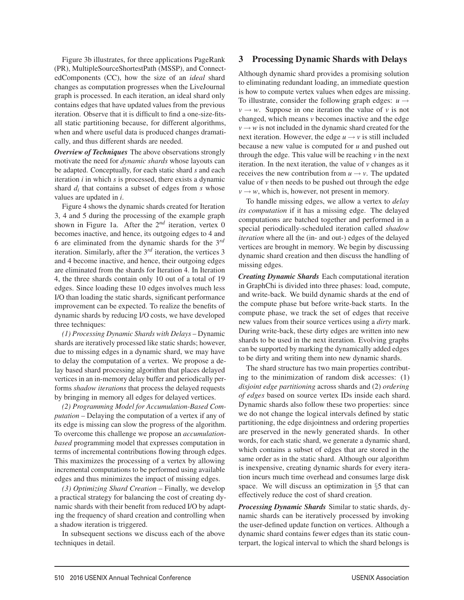Figure 3b illustrates, for three applications PageRank (PR), MultipleSourceShortestPath (MSSP), and ConnectedComponents (CC), how the size of an *ideal* shard changes as computation progresses when the LiveJournal graph is processed. In each iteration, an ideal shard only contains edges that have updated values from the previous iteration. Observe that it is difficult to find a one-size-fitsall static partitioning because, for different algorithms, when and where useful data is produced changes dramatically, and thus different shards are needed.

*Overview of Techniques* The above observations strongly motivate the need for *dynamic shards* whose layouts can be adapted. Conceptually, for each static shard *s* and each iteration *i* in which *s* is processed, there exists a dynamic shard *di* that contains a subset of edges from *s* whose values are updated in *i*.

Figure 4 shows the dynamic shards created for Iteration 3, 4 and 5 during the processing of the example graph shown in Figure 1a. After the 2*nd* iteration, vertex 0 becomes inactive, and hence, its outgoing edges to 4 and 6 are eliminated from the dynamic shards for the 3*rd* iteration. Similarly, after the 3*rd* iteration, the vertices 3 and 4 become inactive, and hence, their outgoing edges are eliminated from the shards for Iteration 4. In Iteration 4, the three shards contain only 10 out of a total of 19 edges. Since loading these 10 edges involves much less I/O than loading the static shards, significant performance improvement can be expected. To realize the benefits of dynamic shards by reducing I/O costs, we have developed three techniques:

*(1) Processing Dynamic Shards with Delays* – Dynamic shards are iteratively processed like static shards; however, due to missing edges in a dynamic shard, we may have to delay the computation of a vertex. We propose a delay based shard processing algorithm that places delayed vertices in an in-memory delay buffer and periodically performs *shadow iterations* that process the delayed requests by bringing in memory all edges for delayed vertices.

*(2) Programming Model for Accumulation-Based Computation* – Delaying the computation of a vertex if any of its edge is missing can slow the progress of the algorithm. To overcome this challenge we propose an *accumulationbased* programming model that expresses computation in terms of incremental contributions flowing through edges. This maximizes the processing of a vertex by allowing incremental computations to be performed using available edges and thus minimizes the impact of missing edges.

*(3) Optimizing Shard Creation* – Finally, we develop a practical strategy for balancing the cost of creating dynamic shards with their benefit from reduced I/O by adapting the frequency of shard creation and controlling when a shadow iteration is triggered.

In subsequent sections we discuss each of the above techniques in detail.

## 3 Processing Dynamic Shards with Delays

Although dynamic shard provides a promising solution to eliminating redundant loading, an immediate question is how to compute vertex values when edges are missing. To illustrate, consider the following graph edges:  $u \rightarrow$  $v \rightarrow w$ . Suppose in one iteration the value of *v* is not changed, which means *v* becomes inactive and the edge  $v \rightarrow w$  is not included in the dynamic shard created for the next iteration. However, the edge  $u \rightarrow v$  is still included because a new value is computed for *u* and pushed out through the edge. This value will be reaching *v* in the next iteration. In the next iteration, the value of *v* changes as it receives the new contribution from  $u \rightarrow v$ . The updated value of  $\nu$  then needs to be pushed out through the edge  $v \rightarrow w$ , which is, however, not present in memory.

To handle missing edges, we allow a vertex to *delay its computation* if it has a missing edge. The delayed computations are batched together and performed in a special periodically-scheduled iteration called *shadow iteration* where all the (in- and out-) edges of the delayed vertices are brought in memory. We begin by discussing dynamic shard creation and then discuss the handling of missing edges.

*Creating Dynamic Shards* Each computational iteration in GraphChi is divided into three phases: load, compute, and write-back. We build dynamic shards at the end of the compute phase but before write-back starts. In the compute phase, we track the set of edges that receive new values from their source vertices using a *dirty* mark. During write-back, these dirty edges are written into new shards to be used in the next iteration. Evolving graphs can be supported by marking the dynamically added edges to be dirty and writing them into new dynamic shards.

The shard structure has two main properties contributing to the minimization of random disk accesses: (1) *disjoint edge partitioning* across shards and (2) *ordering of edges* based on source vertex IDs inside each shard. Dynamic shards also follow these two properties: since we do not change the logical intervals defined by static partitioning, the edge disjointness and ordering properties are preserved in the newly generated shards. In other words, for each static shard, we generate a dynamic shard, which contains a subset of edges that are stored in the same order as in the static shard. Although our algorithm is inexpensive, creating dynamic shards for every iteration incurs much time overhead and consumes large disk space. We will discuss an optimization in §5 that can effectively reduce the cost of shard creation.

*Processing Dynamic Shards* Similar to static shards, dynamic shards can be iteratively processed by invoking the user-defined update function on vertices. Although a dynamic shard contains fewer edges than its static counterpart, the logical interval to which the shard belongs is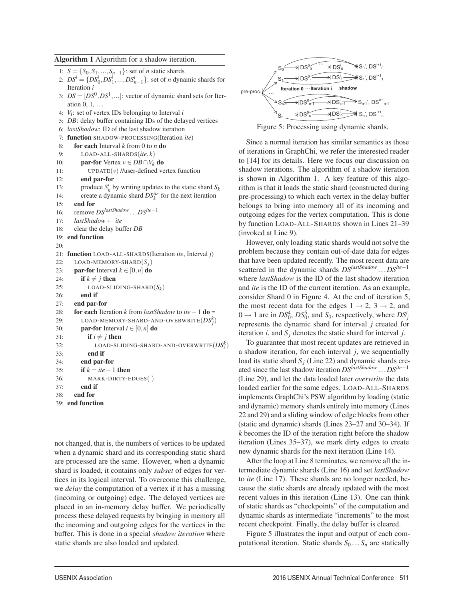## Algorithm 1 Algorithm for a shadow iteration. 1:  $S = \{S_0, S_1, ..., S_{n-1}\}$ : set of *n* static shards

|     | 2: $DS^i = \{DS_0^i, DS_1^i, , DS_{n-1}^i\}$ : set of <i>n</i> dynamic shards for |
|-----|-----------------------------------------------------------------------------------|
|     | Iteration i                                                                       |
|     | 3: $DS = [DS^0, DS^1, \ldots]$ : vector of dynamic shard sets for Iter-           |
|     | ation $0, 1, \ldots$                                                              |
|     | 4: $V_i$ : set of vertex IDs belonging to Interval i                              |
|     | 5: <i>DB</i> : delay buffer containing IDs of the delayed vertices                |
|     | 6: lastShadow: ID of the last shadow iteration                                    |
|     | 7: function SHADOW-PROCESSING(Iteration ite)                                      |
| 8:  | <b>for each</b> Interval $k$ from 0 to $n$ <b>do</b>                              |
| 9:  | $LOAD-ALL-SHARDS(ite, k)$                                                         |
| 10: | <b>par-for</b> Vertex $v \in DB \cap V_k$ do                                      |
| 11: | $UPDATE(v)$ //user-defined vertex function                                        |
| 12: | end par-for                                                                       |
| 13: | produce $S'_k$ by writing updates to the static shard $S_k$                       |
| 14: | create a dynamic shard $DS_k^{ite}$ for the next iteration                        |
| 15: | end for                                                                           |
| 16: | remove $DS^{lastShadow} \dots DS^{ite-1}$                                         |
| 17: | $lastShadow \leftarrow ite$                                                       |
| 18: | clear the delay buffer DB                                                         |
|     | 19: end function                                                                  |
| 20: |                                                                                   |
| 21: | function LOAD-ALL-SHARDS(Iteration ite, Interval j)                               |
| 22: | LOAD-MEMORY-SHARD $(S_i)$                                                         |
| 23: | <b>par-for</b> Interval $k \in [0, n]$ do                                         |
| 24: | if $k \neq j$ then                                                                |
| 25: | LOAD-SLIDING-SHARD $(S_k)$                                                        |
| 26: | end if                                                                            |
| 27: | end par-for                                                                       |
| 28: | for each Iteration k from lastShadow to ite $-1$ do =                             |
| 29: | LOAD-MEMORY-SHARD-AND-OVERWRITE $(DS_i^k)$                                        |
| 30: | <b>par-for</b> Interval $i \in [0, n]$ do                                         |
| 31: | if $i \neq j$ then                                                                |
| 32: | LOAD-SLIDING-SHARD-AND-OVERWRITE $(DS_i^k)$                                       |
| 33: | end if                                                                            |
| 34: | end par-for                                                                       |
| 35: | if $k = ite - 1$ then                                                             |
| 36: | MARK-DIRTY-EDGES()                                                                |
| 37: | end if                                                                            |
| 38: | end for                                                                           |
|     | 39: end function                                                                  |
|     |                                                                                   |

not changed, that is, the numbers of vertices to be updated when a dynamic shard and its corresponding static shard are processed are the same. However, when a dynamic shard is loaded, it contains only *subset* of edges for vertices in its logical interval. To overcome this challenge, we *delay* the computation of a vertex if it has a missing (incoming or outgoing) edge. The delayed vertices are placed in an in-memory delay buffer. We periodically process these delayed requests by bringing in memory all the incoming and outgoing edges for the vertices in the buffer. This is done in a special *shadow iteration* where static shards are also loaded and updated.



Figure 5: Processing using dynamic shards.

Since a normal iteration has similar semantics as those of iterations in GraphChi, we refer the interested reader to [14] for its details. Here we focus our discussion on shadow iterations. The algorithm of a shadow iteration is shown in Algorithm 1. A key feature of this algorithm is that it loads the static shard (constructed during pre-processing) to which each vertex in the delay buffer belongs to bring into memory all of its incoming and outgoing edges for the vertex computation. This is done by function LOAD-ALL-SHARDS shown in Lines 21–39 (invoked at Line 9).

However, only loading static shards would not solve the problem because they contain out-of-date data for edges that have been updated recently. The most recent data are scattered in the dynamic shards *DSlastShadow* ...*DSite*−<sup>1</sup> where *lastShadow* is the ID of the last shadow iteration and *ite* is the ID of the current iteration. As an example, consider Shard 0 in Figure 4. At the end of iteration 5, the most recent data for the edges  $1 \rightarrow 2$ ,  $3 \rightarrow 2$ , and  $0 \rightarrow 1$  are in  $DS_0^4$ ,  $DS_0^5$ , and  $S_0$ , respectively, where  $DS_j^i$ represents the dynamic shard for interval *j* created for iteration  $i$ , and  $S_i$  denotes the static shard for interval  $j$ .

To guarantee that most recent updates are retrieved in a shadow iteration, for each interval *j*, we sequentially load its static shard  $S_i$  (Line 22) and dynamic shards created since the last shadow iteration *DSlastShadow* ...*DSite*−<sup>1</sup> (Line 29), and let the data loaded later *overwrite* the data loaded earlier for the same edges. LOAD-ALL-SHARDS implements GraphChi's PSW algorithm by loading (static and dynamic) memory shards entirely into memory (Lines 22 and 29) and a sliding window of edge blocks from other (static and dynamic) shards (Lines 23–27 and 30–34). If *k* becomes the ID of the iteration right before the shadow iteration (Lines 35–37), we mark dirty edges to create new dynamic shards for the next iteration (Line 14).

After the loop at Line 8 terminates, we remove all the intermediate dynamic shards (Line 16) and set *lastShadow* to *ite* (Line 17). These shards are no longer needed, because the static shards are already updated with the most recent values in this iteration (Line 13). One can think of static shards as "checkpoints" of the computation and dynamic shards as intermediate "increments" to the most recent checkpoint. Finally, the delay buffer is cleared.

Figure 5 illustrates the input and output of each computational iteration. Static shards  $S_0 \dots S_n$  are statically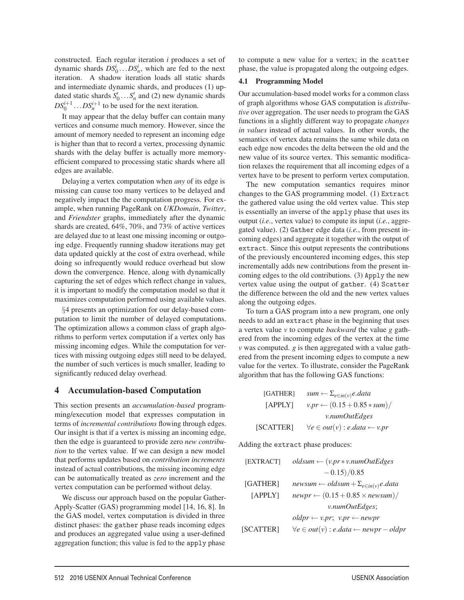constructed. Each regular iteration *i* produces a set of dynamic shards  $DS_0^i$ ... $DS_n^i$ , which are fed to the next iteration. A shadow iteration loads all static shards and intermediate dynamic shards, and produces (1) updated static shards  $S'_0$ .... $S'_n$  and (2) new dynamic shards  $DS_0^{i+1} \dots DS_n^{i+1}$  to be used for the next iteration.

It may appear that the delay buffer can contain many vertices and consume much memory. However, since the amount of memory needed to represent an incoming edge is higher than that to record a vertex, processing dynamic shards with the delay buffer is actually more memoryefficient compared to processing static shards where all edges are available.

Delaying a vertex computation when *any* of its edge is missing can cause too many vertices to be delayed and negatively impact the the computation progress. For example, when running PageRank on *UKDomain*, *Twitter*, and *Friendster* graphs, immediately after the dynamic shards are created, 64%, 70%, and 73% of active vertices are delayed due to at least one missing incoming or outgoing edge. Frequently running shadow iterations may get data updated quickly at the cost of extra overhead, while doing so infrequently would reduce overhead but slow down the convergence. Hence, along with dynamically capturing the set of edges which reflect change in values, it is important to modify the computation model so that it maximizes computation performed using available values.

§4 presents an optimization for our delay-based computation to limit the number of delayed computations. The optimization allows a common class of graph algorithms to perform vertex computation if a vertex only has missing incoming edges. While the computation for vertices with missing outgoing edges still need to be delayed, the number of such vertices is much smaller, leading to significantly reduced delay overhead.

#### 4 Accumulation-based Computation

This section presents an *accumulation-based* programming/execution model that expresses computation in terms of *incremental contributions* flowing through edges. Our insight is that if a vertex is missing an incoming edge, then the edge is guaranteed to provide zero *new contribution* to the vertex value. If we can design a new model that performs updates based on *contribution increments* instead of actual contributions, the missing incoming edge can be automatically treated as *zero* increment and the vertex computation can be performed without delay.

We discuss our approach based on the popular Gather-Apply-Scatter (GAS) programming model [14, 16, 8]. In the GAS model, vertex computation is divided in three distinct phases: the gather phase reads incoming edges and produces an aggregated value using a user-defined aggregation function; this value is fed to the apply phase

to compute a new value for a vertex; in the scatter phase, the value is propagated along the outgoing edges.

#### 4.1 Programming Model

Our accumulation-based model works for a common class of graph algorithms whose GAS computation is *distributive* over aggregation. The user needs to program the GAS functions in a slightly different way to propagate *changes in values* instead of actual values. In other words, the semantics of vertex data remains the same while data on each edge now encodes the delta between the old and the new value of its source vertex. This semantic modification relaxes the requirement that all incoming edges of a vertex have to be present to perform vertex computation.

The new computation semantics requires minor changes to the GAS programming model. (1) Extract the gathered value using the old vertex value. This step is essentially an inverse of the apply phase that uses its output (*i.e.*, vertex value) to compute its input (*i.e.*, aggregated value). (2) Gather edge data (*i.e.*, from present incoming edges) and aggregate it together with the output of extract. Since this output represents the contributions of the previously encountered incoming edges, this step incrementally adds new contributions from the present incoming edges to the old contributions. (3) Apply the new vertex value using the output of gather. (4) Scatter the difference between the old and the new vertex values along the outgoing edges.

To turn a GAS program into a new program, one only needs to add an extract phase in the beginning that uses a vertex value *v* to compute *backward* the value *g* gathered from the incoming edges of the vertex at the time *v* was computed. *g* is then aggregated with a value gathered from the present incoming edges to compute a new value for the vertex. To illustrate, consider the PageRank algorithm that has the following GAS functions:

[GATHER] 
$$
sum \leftarrow \sum_{e \in in(v)} e.data
$$
  
\n[APPLY]  $v.p r \leftarrow (0.15 + 0.85 * sum) / v.numOutEdges$   
\n[SCATTER]  $\forall e \in out(v) : e.data \leftarrow v.p r$ 

Adding the extract phase produces:

| [EXTRACT] | $oldsum \leftarrow (v.pr*v.numOutEdges$                                                          |
|-----------|--------------------------------------------------------------------------------------------------|
|           | $-0.15)/0.85$                                                                                    |
| [GATHER]  | newsum $\leftarrow$ oldsum + $\Sigma_{e \in in(v)} e$ . data                                     |
| [APPLY]   | $newpr \leftarrow (0.15 + 0.85 \times newsum)$                                                   |
|           | v.numOutEdges;                                                                                   |
|           | $\textit{oldpr} \leftarrow v \cdot \textit{pr}; \ v \cdot \textit{pr} \leftarrow \textit{newpr}$ |
| [SCATTER] | $\forall e \in out(v) : e.data \leftarrow newpr - oldpr$                                         |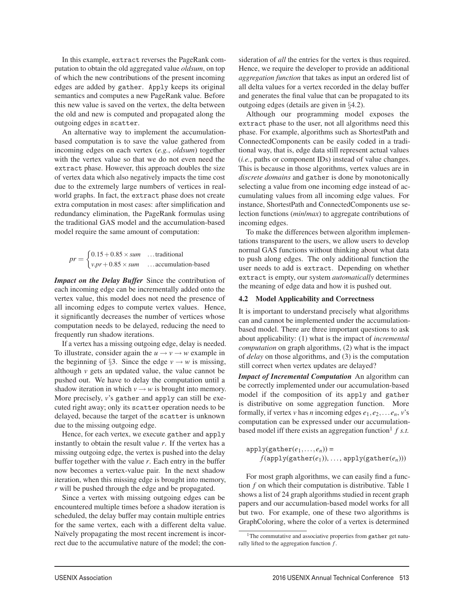In this example, extract reverses the PageRank computation to obtain the old aggregated value *oldsum*, on top of which the new contributions of the present incoming edges are added by gather. Apply keeps its original semantics and computes a new PageRank value. Before this new value is saved on the vertex, the delta between the old and new is computed and propagated along the outgoing edges in scatter.

An alternative way to implement the accumulationbased computation is to save the value gathered from incoming edges on each vertex (*e.g.*, *oldsum*) together with the vertex value so that we do not even need the extract phase. However, this approach doubles the size of vertex data which also negatively impacts the time cost due to the extremely large numbers of vertices in realworld graphs. In fact, the extract phase does not create extra computation in most cases: after simplification and redundancy elimination, the PageRank formulas using the traditional GAS model and the accumulation-based model require the same amount of computation:

$$
pr = \begin{cases} 0.15 + 0.85 \times sum & \dots \text{traditional} \\ v.p r + 0.85 \times sum & \dots \text{accumulation-based} \end{cases}
$$

*Impact on the Delay Buffer* Since the contribution of each incoming edge can be incrementally added onto the vertex value, this model does not need the presence of all incoming edges to compute vertex values. Hence, it significantly decreases the number of vertices whose computation needs to be delayed, reducing the need to frequently run shadow iterations.

If a vertex has a missing outgoing edge, delay is needed. To illustrate, consider again the  $u \rightarrow v \rightarrow w$  example in the beginning of §3. Since the edge  $v \rightarrow w$  is missing, although  $\nu$  gets an updated value, the value cannot be pushed out. We have to delay the computation until a shadow iteration in which  $v \rightarrow w$  is brought into memory. More precisely, *v*'s gather and apply can still be executed right away; only its scatter operation needs to be delayed, because the target of the scatter is unknown due to the missing outgoing edge.

Hence, for each vertex, we execute gather and apply instantly to obtain the result value *r*. If the vertex has a missing outgoing edge, the vertex is pushed into the delay buffer together with the value *r*. Each entry in the buffer now becomes a vertex-value pair. In the next shadow iteration, when this missing edge is brought into memory, *r* will be pushed through the edge and be propagated.

Since a vertex with missing outgoing edges can be encountered multiple times before a shadow iteration is scheduled, the delay buffer may contain multiple entries for the same vertex, each with a different delta value. Naïvely propagating the most recent increment is incorrect due to the accumulative nature of the model; the consideration of *all* the entries for the vertex is thus required. Hence, we require the developer to provide an additional *aggregation function* that takes as input an ordered list of all delta values for a vertex recorded in the delay buffer and generates the final value that can be propagated to its outgoing edges (details are given in §4.2).

Although our programming model exposes the extract phase to the user, not all algorithms need this phase. For example, algorithms such as ShortestPath and ConnectedComponents can be easily coded in a traditional way, that is, edge data still represent actual values (*i.e.*, paths or component IDs) instead of value changes. This is because in those algorithms, vertex values are in *discrete domains* and gather is done by monotonically selecting a value from one incoming edge instead of accumulating values from all incoming edge values. For instance, ShortestPath and ConnectedComponents use selection functions (*min*/*max*) to aggregate contributions of incoming edges.

To make the differences between algorithm implementations transparent to the users, we allow users to develop normal GAS functions without thinking about what data to push along edges. The only additional function the user needs to add is extract. Depending on whether extract is empty, our system *automatically* determines the meaning of edge data and how it is pushed out.

#### 4.2 Model Applicability and Correctness

It is important to understand precisely what algorithms can and cannot be implemented under the accumulationbased model. There are three important questions to ask about applicability: (1) what is the impact of *incremental computation* on graph algorithms, (2) what is the impact of *delay* on those algorithms, and (3) is the computation still correct when vertex updates are delayed?

*Impact of Incremental Computation* An algorithm can be correctly implemented under our accumulation-based model if the composition of its apply and gather is distributive on some aggregation function. More formally, if vertex *v* has *n* incoming edges  $e_1, e_2, \ldots e_n$ , *v*'s computation can be expressed under our accumulationbased model iff there exists an aggregation function<sup>1</sup>  $f$  s.t.

 $apply(gather(e_1,...,e_n)) =$  $f(\text{apply}(\text{gather}(e_1)), \ldots, \text{apply}(\text{gather}(e_n)))$ 

For most graph algorithms, we can easily find a function *f* on which their computation is distributive. Table 1 shows a list of 24 graph algorithms studied in recent graph papers and our accumulation-based model works for all but two. For example, one of these two algorithms is GraphColoring, where the color of a vertex is determined

<sup>&</sup>lt;sup>1</sup>The commutative and associative properties from gather get naturally lifted to the aggregation function *f* .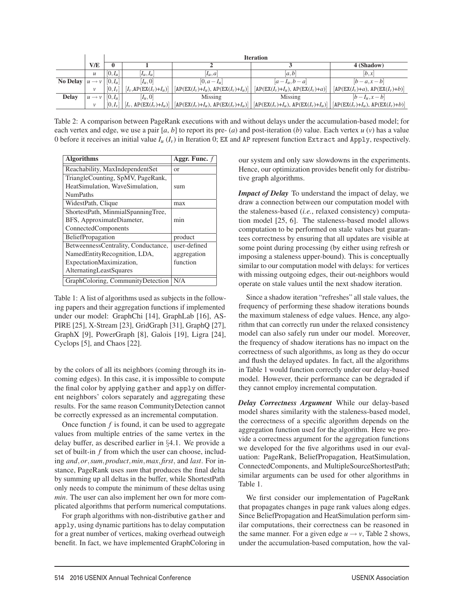|                              |                   |               | <b>Iteration</b>                           |                                      |                                                                                                                         |                                                             |  |  |  |
|------------------------------|-------------------|---------------|--------------------------------------------|--------------------------------------|-------------------------------------------------------------------------------------------------------------------------|-------------------------------------------------------------|--|--|--|
|                              | V/E               | $\bf{0}$      |                                            |                                      |                                                                                                                         | 4 (Shadow)                                                  |  |  |  |
|                              | $\mathcal{U}$     | $[0,I_\mu]$   | $ I_{\mu},I_{\mu} $                        | $ I_{\mu}, a $                       | a,b                                                                                                                     | b,x                                                         |  |  |  |
| No Delay $ u \rightarrow v $ |                   | $[0,I_\nu]$   | $[I_\mu,0]$                                | $[0, a - I_u]$                       | $[a-I_u,b-a]$                                                                                                           | $[b-a,x-b]$                                                 |  |  |  |
|                              | $\mathcal V$      | $[0,I_{\nu}]$ | $[I_v, AP(EX(I_v)+I_u)]$                   | $[AP(EX(I_v)+I_u), AP(EX(I_v)+I_u)]$ | $[AP(EX(I_v)+I_u), AP(EX(I_v)+a)]$                                                                                      | $[AP(EX(I_v)+a), AP(EX(I_v)+b)]$                            |  |  |  |
| <b>Delay</b>                 | $u \rightarrow v$ | $[0,I_\mu]$   | $[I_u,0]$                                  | Missing                              | Missing                                                                                                                 | $[b-l_u,x-b]$                                               |  |  |  |
|                              | v                 | $[0,I_{\nu}]$ | $\left[ I_{v}, AP(EX(I_{v})+I_{u})\right]$ |                                      | $\left[\text{AP}(EX(I_v)+I_u),\text{AP}(EX(I_v)+I_u)\right] \left[\text{AP}(EX(I_v)+I_u),\text{AP}(EX(I_v)+I_u)\right]$ | $\left[\text{AP}(EX(I_v)+I_u), \text{AP}(EX(I_v)+b)\right]$ |  |  |  |

Table 2: A comparison between PageRank executions with and without delays under the accumulation-based model; for each vertex and edge, we use a pair  $[a, b]$  to report its pre-  $(a)$  and post-iteration  $(b)$  value. Each vertex  $u(v)$  has a value 0 before it receives an initial value *Iu* (*Iv*) in Iteration 0; EX and AP represent function Extract and Apply, respectively.

| <b>Algorithms</b>                   | Aggr. Func. $f$ |
|-------------------------------------|-----------------|
| Reachability, MaxIndependentSet     | or              |
| TriangleCounting, SpMV, PageRank,   |                 |
| HeatSimulation, WaveSimulation,     | sum             |
| <b>NumPaths</b>                     |                 |
| WidestPath, Clique                  | max             |
| ShortestPath, MinmialSpanningTree,  |                 |
| BFS, ApproximateDiameter,           | min             |
| ConnectedComponents                 |                 |
| <b>BeliefPropagation</b>            | product         |
| BetweennessCentrality, Conductance, | user-defined    |
| NamedEntityRecognition, LDA,        | aggregation     |
| ExpectationMaximization,            | function        |
| AlternatingLeastSquares             |                 |
| GraphColoring, CommunityDetection   | N/A             |

Table 1: A list of algorithms used as subjects in the following papers and their aggregation functions if implemented under our model: GraphChi [14], GraphLab [16], AS-PIRE [25], X-Stream [23], GridGraph [31], GraphQ [27], GraphX [9], PowerGraph [8], Galois [19], Ligra [24], Cyclops [5], and Chaos [22].

by the colors of all its neighbors (coming through its incoming edges). In this case, it is impossible to compute the final color by applying gather and apply on different neighbors' colors separately and aggregating these results. For the same reason CommunityDetection cannot be correctly expressed as an incremental computation.

Once function *f* is found, it can be used to aggregate values from multiple entries of the same vertex in the delay buffer, as described earlier in §4.1. We provide a set of built-in *f* from which the user can choose, including *and*,*or*,*sum*,*product*,*min*,*max*,*first*, and *last*. For instance, PageRank uses *sum* that produces the final delta by summing up all deltas in the buffer, while ShortestPath only needs to compute the minimum of these deltas using *min*. The user can also implement her own for more complicated algorithms that perform numerical computations.

For graph algorithms with non-distributive gather and apply, using dynamic partitions has to delay computation for a great number of vertices, making overhead outweigh benefit. In fact, we have implemented GraphColoring in our system and only saw slowdowns in the experiments. Hence, our optimization provides benefit only for distributive graph algorithms.

*Impact of Delay* To understand the impact of delay, we draw a connection between our computation model with the staleness-based (*i.e.*, relaxed consistency) computation model [25, 6]. The staleness-based model allows computation to be performed on stale values but guarantees correctness by ensuring that all updates are visible at some point during processing (by either using refresh or imposing a staleness upper-bound). This is conceptually similar to our computation model with delays: for vertices with missing outgoing edges, their out-neighbors would operate on stale values until the next shadow iteration.

Since a shadow iteration "refreshes" all stale values, the frequency of performing these shadow iterations bounds the maximum staleness of edge values. Hence, any algorithm that can correctly run under the relaxed consistency model can also safely run under our model. Moreover, the frequency of shadow iterations has no impact on the correctness of such algorithms, as long as they do occur and flush the delayed updates. In fact, all the algorithms in Table 1 would function correctly under our delay-based model. However, their performance can be degraded if they cannot employ incremental computation.

*Delay Correctness Argument* While our delay-based model shares similarity with the staleness-based model, the correctness of a specific algorithm depends on the aggregation function used for the algorithm. Here we provide a correctness argument for the aggregation functions we developed for the five algorithms used in our evaluation: PageRank, BeliefPropagation, HeatSimulation, ConnectedComponents, and MultipleSourceShortestPath; similar arguments can be used for other algorithms in Table 1.

We first consider our implementation of PageRank that propagates changes in page rank values along edges. Since BeliefPropagation and HeatSimulation perform similar computations, their correctness can be reasoned in the same manner. For a given edge  $u \rightarrow v$ , Table 2 shows, under the accumulation-based computation, how the val-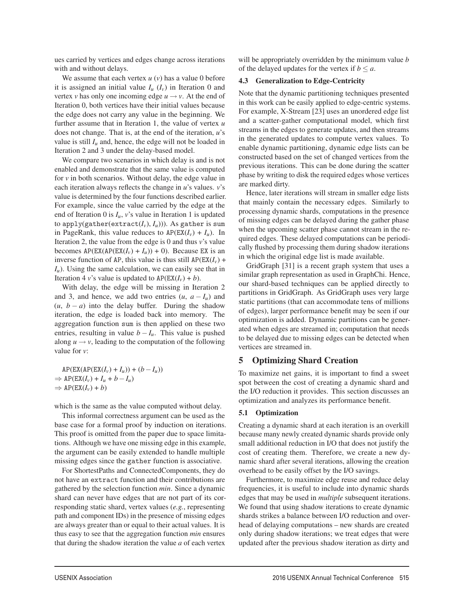ues carried by vertices and edges change across iterations with and without delays.

We assume that each vertex  $u(v)$  has a value 0 before it is assigned an initial value  $I_u$   $(I_v)$  in Iteration 0 and vertex *v* has only one incoming edge  $u \rightarrow v$ . At the end of Iteration 0, both vertices have their initial values because the edge does not carry any value in the beginning. We further assume that in Iteration 1, the value of vertex *u* does not change. That is, at the end of the iteration, *u*'s value is still  $I_u$  and, hence, the edge will not be loaded in Iteration 2 and 3 under the delay-based model.

We compare two scenarios in which delay is and is not enabled and demonstrate that the same value is computed for  $v$  in both scenarios. Without delay, the edge value in each iteration always reflects the change in *u*'s values. *v*'s value is determined by the four functions described earlier. For example, since the value carried by the edge at the end of Iteration 0 is  $I_u$ , *v*'s value in Iteration 1 is updated to apply(gather(extract $(I_v, I_u)$ )). As gather is sum in PageRank, this value reduces to  $AP(EX(I_v) + I_u)$ . In Iteration 2, the value from the edge is 0 and thus *v*'s value becomes  $AP(EX(AP(EX(I_v) + I_u)) + 0$ ). Because EX is an inverse function of AP, this value is thus still  $AP(EX(I_v) +$ *I<sub>u</sub>*). Using the same calculation, we can easily see that in Iteration 4 *v*'s value is updated to  $AP(EX(I_v) + b)$ .

With delay, the edge will be missing in Iteration 2 and 3, and hence, we add two entries  $(u, a - I_u)$  and  $(u, b - a)$  into the delay buffer. During the shadow iteration, the edge is loaded back into memory. The aggregation function sum is then applied on these two entries, resulting in value  $b - I_u$ . This value is pushed along  $u \rightarrow v$ , leading to the computation of the following value for *v*:

 $AP(EX(AP(EX(I_v) + I_u)) + (b - I_u))$  $\Rightarrow$  AP(EX( $I_v$ ) +  $I_u$  +  $b - I_u$ )  $\Rightarrow$  AP(EX( $I_v$ ) + *b*)

which is the same as the value computed without delay.

This informal correctness argument can be used as the base case for a formal proof by induction on iterations. This proof is omitted from the paper due to space limitations. Although we have one missing edge in this example, the argument can be easily extended to handle multiple missing edges since the gather function is associative.

For ShortestPaths and ConnectedComponents, they do not have an extract function and their contributions are gathered by the selection function *min*. Since a dynamic shard can never have edges that are not part of its corresponding static shard, vertex values (*e.g.*, representing path and component IDs) in the presence of missing edges are always greater than or equal to their actual values. It is thus easy to see that the aggregation function *min* ensures that during the shadow iteration the value *a* of each vertex

will be appropriately overridden by the minimum value *b* of the delayed updates for the vertex if  $b \le a$ .

#### 4.3 Generalization to Edge-Centricity

Note that the dynamic partitioning techniques presented in this work can be easily applied to edge-centric systems. For example, X-Stream [23] uses an unordered edge list and a scatter-gather computational model, which first streams in the edges to generate updates, and then streams in the generated updates to compute vertex values. To enable dynamic partitioning, dynamic edge lists can be constructed based on the set of changed vertices from the previous iterations. This can be done during the scatter phase by writing to disk the required edges whose vertices are marked dirty.

Hence, later iterations will stream in smaller edge lists that mainly contain the necessary edges. Similarly to processing dynamic shards, computations in the presence of missing edges can be delayed during the gather phase when the upcoming scatter phase cannot stream in the required edges. These delayed computations can be periodically flushed by processing them during shadow iterations in which the original edge list is made available.

GridGraph [31] is a recent graph system that uses a similar graph representation as used in GraphChi. Hence, our shard-based techniques can be applied directly to partitions in GridGraph. As GridGraph uses very large static partitions (that can accommodate tens of millions of edges), larger performance benefit may be seen if our optimization is added. Dynamic partitions can be generated when edges are streamed in; computation that needs to be delayed due to missing edges can be detected when vertices are streamed in.

#### 5 Optimizing Shard Creation

To maximize net gains, it is important to find a sweet spot between the cost of creating a dynamic shard and the I/O reduction it provides. This section discusses an optimization and analyzes its performance benefit.

#### 5.1 Optimization

Creating a dynamic shard at each iteration is an overkill because many newly created dynamic shards provide only small additional reduction in I/O that does not justify the cost of creating them. Therefore, we create a new dynamic shard after several iterations, allowing the creation overhead to be easily offset by the I/O savings.

Furthermore, to maximize edge reuse and reduce delay frequencies, it is useful to include into dynamic shards edges that may be used in *multiple* subsequent iterations. We found that using shadow iterations to create dynamic shards strikes a balance between I/O reduction and overhead of delaying computations – new shards are created only during shadow iterations; we treat edges that were updated after the previous shadow iteration as dirty and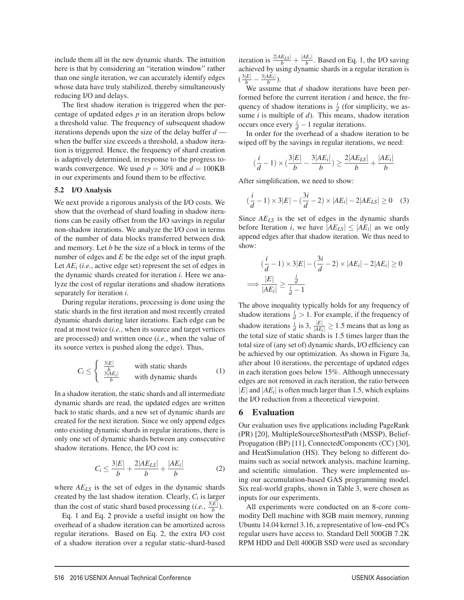include them all in the new dynamic shards. The intuition here is that by considering an "iteration window" rather than one single iteration, we can accurately identify edges whose data have truly stabilized, thereby simultaneously reducing I/O and delays.

The first shadow iteration is triggered when the percentage of updated edges *p* in an iteration drops below a threshold value. The frequency of subsequent shadow iterations depends upon the size of the delay buffer *d* when the buffer size exceeds a threshold, a shadow iteration is triggered. Hence, the frequency of shard creation is adaptively determined, in response to the progress towards convergence. We used  $p = 30\%$  and  $d = 100KB$ in our experiments and found them to be effective.

#### 5.2 I/O Analysis

We next provide a rigorous analysis of the I/O costs. We show that the overhead of shard loading in shadow iterations can be easily offset from the I/O savings in regular non-shadow iterations. We analyze the I/O cost in terms of the number of data blocks transferred between disk and memory. Let *b* be the size of a block in terms of the number of edges and *E* be the edge set of the input graph. Let *AEi* (*i.e.*, active edge set) represent the set of edges in the dynamic shards created for iteration *i*. Here we analyze the cost of regular iterations and shadow iterations separately for iteration *i*.

During regular iterations, processing is done using the static shards in the first iteration and most recently created dynamic shards during later iterations. Each edge can be read at most twice (*i.e.*, when its source and target vertices are processed) and written once (*i.e.*, when the value of its source vertex is pushed along the edge). Thus,

$$
C_i \leq \begin{cases} \frac{3|E|}{b} & \text{with static shards} \\ \frac{3|AE_i|}{b} & \text{with dynamic shards} \end{cases}
$$
 (1)

In a shadow iteration, the static shards and all intermediate dynamic shards are read, the updated edges are written back to static shards, and a new set of dynamic shards are created for the next iteration. Since we only append edges onto existing dynamic shards in regular iterations, there is only one set of dynamic shards between any consecutive shadow iterations. Hence, the I/O cost is:

$$
C_i \le \frac{3|E|}{b} + \frac{2|AE_{LS}|}{b} + \frac{|AE_i|}{b}
$$
 (2)

where *AELS* is the set of edges in the dynamic shards created by the last shadow iteration. Clearly, *Ci* is larger than the cost of static shard based processing (*i.e.*,  $\frac{3|E|}{b}$ ).

Eq. 1 and Eq. 2 provide a useful insight on how the overhead of a shadow iteration can be amortized across regular iterations. Based on Eq. 2, the extra I/O cost of a shadow iteration over a regular static-shard-based iteration is  $\frac{2|AE_{LS}|}{b} + \frac{|AE_i|}{b}$ . Based on Eq. 1, the I/O saving achieved by using dynamic shards in a regular iteration is  $(\frac{3|E|}{b} - \frac{3|AE_i|}{b}).$ 

We assume that *d* shadow iterations have been performed before the current iteration *i* and hence, the frequency of shadow iterations is  $\frac{i}{d}$  (for simplicity, we assume *i* is multiple of *d*). This means, shadow iteration occurs once every  $\frac{i}{d} - 1$  regular iterations.

In order for the overhead of a shadow iteration to be wiped off by the savings in regular iterations, we need:

$$
(\frac{i}{d}-1)\times(\frac{3|E|}{b}-\frac{3|AE_i|}{b})\geq\frac{2|AE_{LS}|}{b}+\frac{|AE_i|}{b}
$$

After simplification, we need to show:

$$
(\frac{i}{d} - 1) \times 3|E| - (\frac{3i}{d} - 2) \times |AE_i| - 2|AE_{LS}| \ge 0 \quad (3)
$$

Since *AELS* is the set of edges in the dynamic shards before Iteration *i*, we have  $|AE_{LS}| \leq |AE_i|$  as we only append edges after that shadow iteration. We thus need to show:

$$
\left(\frac{i}{d} - 1\right) \times 3|E| - \left(\frac{3i}{d} - 2\right) \times |AE_i| - 2|AE_i| \ge 0
$$
  

$$
\implies \frac{|E|}{|AE_i|} \ge \frac{\frac{i}{d}}{\frac{i}{d} - 1}
$$

The above inequality typically holds for any frequency of shadow iterations  $\frac{i}{d} > 1$ . For example, if the frequency of shadow iterations  $\frac{i}{d}$  is 3,  $\frac{|E|}{|AE_i|} \ge 1.5$  means that as long as the total size of static shards is 1.5 times larger than the total size of (any set of) dynamic shards, I/O efficiency can be achieved by our optimization. As shown in Figure 3a, after about 10 iterations, the percentage of updated edges in each iteration goes below 15%. Although unnecessary edges are not removed in each iteration, the ratio between  $|E|$  and  $|AE_i|$  is often much larger than 1.5, which explains the I/O reduction from a theoretical viewpoint.

### 6 Evaluation

Our evaluation uses five applications including PageRank (PR) [20], MultipleSourceShortestPath (MSSP), Belief-Propagation (BP) [11], ConnectedComponents (CC) [30], and HeatSimulation (HS). They belong to different domains such as social network analysis, machine learning, and scientific simulation. They were implemented using our accumulation-based GAS programming model. Six real-world graphs, shown in Table 3, were chosen as inputs for our experiments.

All experiments were conducted on an 8-core commodity Dell machine with 8GB main memory, running Ubuntu 14.04 kernel 3.16, a representative of low-end PCs regular users have access to. Standard Dell 500GB 7.2K RPM HDD and Dell 400GB SSD were used as secondary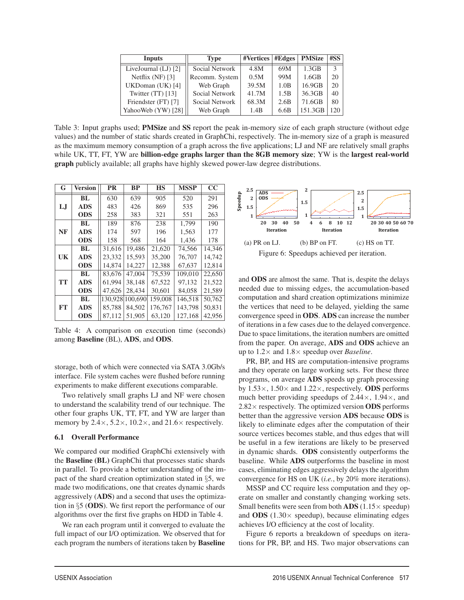| Inputs                 | Type           | <b>#Vertices   #Edges</b> |      | <b>PMSize</b>     | #SS           |
|------------------------|----------------|---------------------------|------|-------------------|---------------|
| LiveJournal $(LJ)$ [2] | Social Network | 4.8M                      | 69M  | 1.3 <sub>GB</sub> | $\mathcal{R}$ |
| Netflix $(NF)$ [3]     | Recomm. System | 0.5M                      | 99M  | 1.6GB             | 20            |
| UKDoman (UK) [4]       | Web Graph      | 39.5M                     | 1.0B | 16.9GB            | 20            |
| Twitter $(TT)$ [13]    | Social Network | 41.7M                     | 1.5B | 36.3GB            | 40            |
| Friendster (FT) [7]    | Social Network | 68.3M                     | 2.6B | 71.6GB            | 80            |
| YahooWeb (YW) [28]     | Web Graph      | 1.4B                      | 6.6B | 151.3GB           | 120           |

Table 3: Input graphs used; **PMSize** and **SS** report the peak in-memory size of each graph structure (without edge values) and the number of static shards created in GraphChi, respectively. The in-memory size of a graph is measured as the maximum memory consumption of a graph across the five applications; LJ and NF are relatively small graphs while UK, TT, FT, YW are billion-edge graphs larger than the 8GB memory size; YW is the largest real-world graph publicly available; all graphs have highly skewed power-law degree distributions.

| G         | <b>Version</b> | <b>PR</b> | <b>BP</b> | <b>HS</b> | <b>MSSP</b> | CC     |
|-----------|----------------|-----------|-----------|-----------|-------------|--------|
|           | BL             | 630       | 639       | 905       | 520         | 291    |
| LJ        | <b>ADS</b>     | 483       | 426       | 869       | 535         | 296    |
|           | <b>ODS</b>     | 258       | 383       | 321       | 551         | 263    |
|           | BL             | 189       | 876       | 238       | 1,799       | 190    |
| NF        | <b>ADS</b>     | 174       | 597       | 196       | 1,563       | 177    |
|           | <b>ODS</b>     | 158       | 568       | 164       | 1,436       | 178    |
|           | BL.            | 31.616    | 19,486    | 21,620    | 74,566      | 14,346 |
| UK        | <b>ADS</b>     | 23,332    | 15.593    | 35,200    | 76.707      | 14.742 |
|           | <b>ODS</b>     | 14.874    | 14,227    | 12,388    | 67.637      | 12,814 |
|           | BL             | 83.676    | 47,004    | 75,539    | 109,010     | 22,650 |
| <b>TT</b> | <b>ADS</b>     | 61.994    | 38.148    | 67,522    | 97,132      | 21,522 |
|           | <b>ODS</b>     | 47.626    | 28.434    | 30,601    | 84.058      | 21,589 |
|           | BL             | 130,928   | 100,690   | 159,008   | 146.518     | 50,762 |
| FT        | <b>ADS</b>     | 85.788    | 84.502    | 176,767   | 143,798     | 50,831 |
|           | <b>ODS</b>     | 87.112    | 51.905    | 63,120    | 127,168     | 42,956 |

Table 4: A comparison on execution time (seconds) among Baseline (BL), ADS, and ODS.

storage, both of which were connected via SATA 3.0Gb/s interface. File system caches were flushed before running experiments to make different executions comparable.

Two relatively small graphs LJ and NF were chosen to understand the scalability trend of our technique. The other four graphs UK, TT, FT, and YW are larger than memory by  $2.4 \times$ ,  $5.2 \times$ ,  $10.2 \times$ , and  $21.6 \times$  respectively.

#### 6.1 Overall Performance

We compared our modified GraphChi extensively with the Baseline (BL) GraphChi that processes static shards in parallel. To provide a better understanding of the impact of the shard creation optimization stated in §5, we made two modifications, one that creates dynamic shards aggressively (ADS) and a second that uses the optimization in §5 (ODS). We first report the performance of our algorithms over the first five graphs on HDD in Table 4.

We ran each program until it converged to evaluate the full impact of our I/O optimization. We observed that for each program the numbers of iterations taken by Baseline



and ODS are almost the same. That is, despite the delays needed due to missing edges, the accumulation-based computation and shard creation optimizations minimize the vertices that need to be delayed, yielding the same convergence speed in ODS. ADS can increase the number of iterations in a few cases due to the delayed convergence. Due to space limitations, the iteration numbers are omitted from the paper. On average, ADS and ODS achieve an up to 1.2× and 1.8× speedup over *Baseline*.

PR, BP, and HS are computation-intensive programs and they operate on large working sets. For these three programs, on average ADS speeds up graph processing by  $1.53\times$ ,  $1.50\times$  and  $1.22\times$ , respectively. **ODS** performs much better providing speedups of  $2.44 \times$ ,  $1.94 \times$ , and  $2.82\times$  respectively. The optimized version **ODS** performs better than the aggressive version ADS because ODS is likely to eliminate edges after the computation of their source vertices becomes stable, and thus edges that will be useful in a few iterations are likely to be preserved in dynamic shards. ODS consistently outperforms the baseline. While ADS outperforms the baseline in most cases, eliminating edges aggressively delays the algorithm convergence for HS on UK (*i.e.*, by 20% more iterations).

MSSP and CC require less computation and they operate on smaller and constantly changing working sets. Small benefits were seen from both  $\text{ADS}(1.15 \times \text{speedup})$ and **ODS** (1.30 $\times$  speedup), because eliminating edges achieves I/O efficiency at the cost of locality.

Figure 6 reports a breakdown of speedups on iterations for PR, BP, and HS. Two major observations can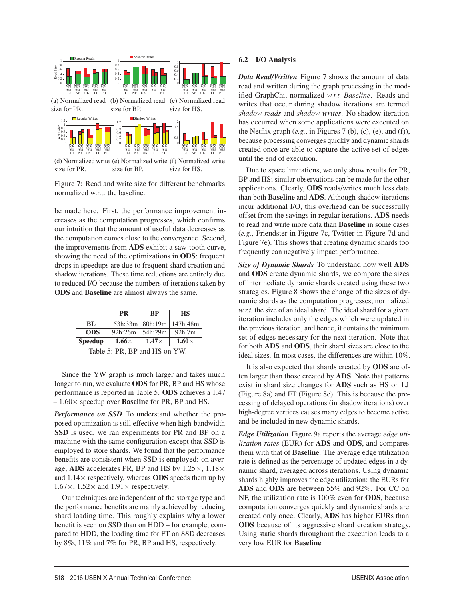

size for BP. size for HS.

Figure 7: Read and write size for different benchmarks normalized w.r.t. the baseline.

be made here. First, the performance improvement increases as the computation progresses, which confirms our intuition that the amount of useful data decreases as the computation comes close to the convergence. Second, the improvements from ADS exhibit a saw-tooth curve, showing the need of the optimizations in ODS: frequent drops in speedups are due to frequent shard creation and shadow iterations. These time reductions are entirely due to reduced I/O because the numbers of iterations taken by ODS and Baseline are almost always the same.

| PR             |                  | RР           | НS           |  |
|----------------|------------------|--------------|--------------|--|
| BL.            | 153h:33m 80h:19m |              | 147h:48m     |  |
| <b>ODS</b>     | 92h:26m          | 54h:29m      | 92h:7m       |  |
| <b>Speedup</b> | $1.66\times$     | $1.47\times$ | $1.60\times$ |  |

Table 5: PR, BP and HS on YW.

Since the YW graph is much larger and takes much longer to run, we evaluate **ODS** for PR, BP and HS whose performance is reported in Table 5. ODS achieves a 1.47  $-1.60\times$  speedup over **Baseline** for PR, BP and HS.

*Performance on SSD* To understand whether the proposed optimization is still effective when high-bandwidth SSD is used, we ran experiments for PR and BP on a machine with the same configuration except that SSD is employed to store shards. We found that the performance benefits are consistent when SSD is employed: on average, ADS accelerates PR, BP and HS by  $1.25 \times$ ,  $1.18 \times$ and  $1.14\times$  respectively, whereas **ODS** speeds them up by  $1.67\times$ ,  $1.52\times$  and  $1.91\times$  respectively.

Our techniques are independent of the storage type and the performance benefits are mainly achieved by reducing shard loading time. This roughly explains why a lower benefit is seen on SSD than on HDD – for example, compared to HDD, the loading time for FT on SSD decreases by 8%, 11% and 7% for PR, BP and HS, respectively.

#### 6.2 I/O Analysis

*Data Read/Written* Figure 7 shows the amount of data read and written during the graph processing in the modified GraphChi, normalized *w.r.t. Baseline*. Reads and writes that occur during shadow iterations are termed *shadow reads* and *shadow writes*. No shadow iteration has occurred when some applications were executed on the Netflix graph  $(e.g., in Figures 7 (b), (c), (e), and (f)),$ because processing converges quickly and dynamic shards created once are able to capture the active set of edges until the end of execution.

Due to space limitations, we only show results for PR, BP and HS; similar observations can be made for the other applications. Clearly, ODS reads/writes much less data than both Baseline and ADS. Although shadow iterations incur additional I/O, this overhead can be successfully offset from the savings in regular iterations. ADS needs to read and write more data than Baseline in some cases (*e.g.*, Friendster in Figure 7c, Twitter in Figure 7d and Figure 7e). This shows that creating dynamic shards too frequently can negatively impact performance.

*Size of Dynamic Shards* To understand how well ADS and ODS create dynamic shards, we compare the sizes of intermediate dynamic shards created using these two strategies. Figure 8 shows the change of the sizes of dynamic shards as the computation progresses, normalized *w.r.t.* the size of an ideal shard. The ideal shard for a given iteration includes only the edges which were updated in the previous iteration, and hence, it contains the minimum set of edges necessary for the next iteration. Note that for both ADS and ODS, their shard sizes are close to the ideal sizes. In most cases, the differences are within 10%.

It is also expected that shards created by ODS are often larger than those created by ADS. Note that patterns exist in shard size changes for ADS such as HS on LJ (Figure 8a) and FT (Figure 8e). This is because the processing of delayed operations (in shadow iterations) over high-degree vertices causes many edges to become active and be included in new dynamic shards.

*Edge Utilization* Figure 9a reports the average *edge utilization rates* (EUR) for ADS and ODS, and compares them with that of Baseline. The average edge utilization rate is defined as the percentage of updated edges in a dynamic shard, averaged across iterations. Using dynamic shards highly improves the edge utilization: the EURs for ADS and ODS are between 55% and 92%. For CC on NF, the utilization rate is 100% even for ODS, because computation converges quickly and dynamic shards are created only once. Clearly, ADS has higher EURs than ODS because of its aggressive shard creation strategy. Using static shards throughout the execution leads to a very low EUR for Baseline.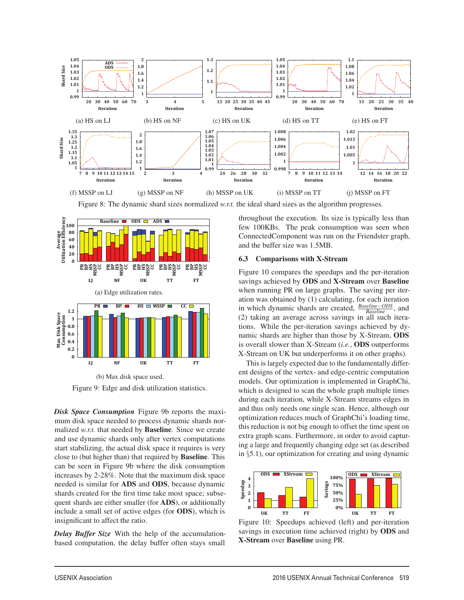

Figure 8: The dynamic shard sizes normalized *w.r.t.* the ideal shard sizes as the algorithm progresses.



Figure 9: Edge and disk utilization statistics.

*Disk Space Consumption* Figure 9b reports the maximum disk space needed to process dynamic shards normalized *w.r.t.* that needed by **Baseline**. Since we create and use dynamic shards only after vertex computations start stabilizing, the actual disk space it requires is very close to (but higher than) that required by Baseline. This can be seen in Figure 9b where the disk consumption increases by 2-28%. Note that the maximum disk space needed is similar for ADS and ODS, because dynamic shards created for the first time take most space; subsequent shards are either smaller (for ADS), or additionally include a small set of active edges (for ODS), which is insignificant to affect the ratio.

*Delay Buffer Size* With the help of the accumulationbased computation, the delay buffer often stays small

throughout the execution. Its size is typically less than few 100KBs. The peak consumption was seen when ConnectedComponent was run on the Friendster graph, and the buffer size was 1.5MB.

#### 6.3 Comparisons with X-Stream

Figure 10 compares the speedups and the per-iteration savings achieved by ODS and X-Stream over Baseline when running PR on large graphs. The saving per iteration was obtained by (1) calculating, for each iteration in which dynamic shards are created, *Baseline*−*ODS Baseline* , and (2) taking an average across savings in all such iterations. While the per-iteration savings achieved by dynamic shards are higher than those by X-Stream, ODS is overall slower than X-Stream (*i.e.*, ODS outperforms X-Stream on UK but underperforms it on other graphs).

This is largely expected due to the fundamentally different designs of the vertex- and edge-centric computation models. Our optimization is implemented in GraphChi, which is designed to scan the whole graph multiple times during each iteration, while X-Stream streams edges in and thus only needs one single scan. Hence, although our optimization reduces much of GraphChi's loading time, this reduction is not big enough to offset the time spent on extra graph scans. Furthermore, in order to avoid capturing a large and frequently changing edge set (as described in §5.1), our optimization for creating and using dynamic



Figure 10: Speedups achieved (left) and per-iteration savings in execution time achieved (right) by ODS and X-Stream over Baseline using PR.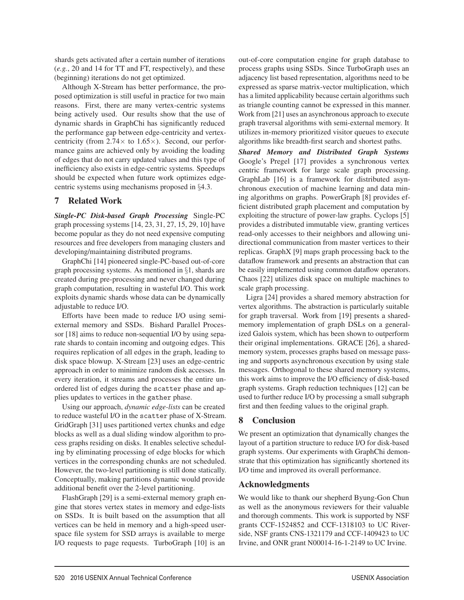shards gets activated after a certain number of iterations (*e.g.*, 20 and 14 for TT and FT, respectively), and these (beginning) iterations do not get optimized.

Although X-Stream has better performance, the proposed optimization is still useful in practice for two main reasons. First, there are many vertex-centric systems being actively used. Our results show that the use of dynamic shards in GraphChi has significantly reduced the performance gap between edge-centricity and vertexcentricity (from  $2.74 \times$  to  $1.65 \times$ ). Second, our performance gains are achieved only by avoiding the loading of edges that do not carry updated values and this type of inefficiency also exists in edge-centric systems. Speedups should be expected when future work optimizes edgecentric systems using mechanisms proposed in §4.3.

## 7 Related Work

*Single-PC Disk-based Graph Processing* Single-PC graph processing systems [14, 23, 31, 27, 15, 29, 10] have become popular as they do not need expensive computing resources and free developers from managing clusters and developing/maintaining distributed programs.

GraphChi [14] pioneered single-PC-based out-of-core graph processing systems. As mentioned in §1, shards are created during pre-processing and never changed during graph computation, resulting in wasteful I/O. This work exploits dynamic shards whose data can be dynamically adjustable to reduce I/O.

Efforts have been made to reduce I/O using semiexternal memory and SSDs. Bishard Parallel Processor [18] aims to reduce non-sequential I/O by using separate shards to contain incoming and outgoing edges. This requires replication of all edges in the graph, leading to disk space blowup. X-Stream [23] uses an edge-centric approach in order to minimize random disk accesses. In every iteration, it streams and processes the entire unordered list of edges during the scatter phase and applies updates to vertices in the gather phase.

Using our approach, *dynamic edge-lists* can be created to reduce wasteful I/O in the scatter phase of X-Stream. GridGraph [31] uses partitioned vertex chunks and edge blocks as well as a dual sliding window algorithm to process graphs residing on disks. It enables selective scheduling by eliminating processing of edge blocks for which vertices in the corresponding chunks are not scheduled. However, the two-level partitioning is still done statically. Conceptually, making partitions dynamic would provide additional benefit over the 2-level partitioning.

FlashGraph [29] is a semi-external memory graph engine that stores vertex states in memory and edge-lists on SSDs. It is built based on the assumption that all vertices can be held in memory and a high-speed userspace file system for SSD arrays is available to merge I/O requests to page requests. TurboGraph [10] is an

out-of-core computation engine for graph database to process graphs using SSDs. Since TurboGraph uses an adjacency list based representation, algorithms need to be expressed as sparse matrix-vector multiplication, which has a limited applicability because certain algorithms such as triangle counting cannot be expressed in this manner. Work from [21] uses an asynchronous approach to execute graph traversal algorithms with semi-external memory. It utilizes in-memory prioritized visitor queues to execute algorithms like breadth-first search and shortest paths.

*Shared Memory and Distributed Graph Systems* Google's Pregel [17] provides a synchronous vertex centric framework for large scale graph processing. GraphLab [16] is a framework for distributed asynchronous execution of machine learning and data mining algorithms on graphs. PowerGraph [8] provides efficient distributed graph placement and computation by exploiting the structure of power-law graphs. Cyclops [5] provides a distributed immutable view, granting vertices read-only accesses to their neighbors and allowing unidirectional communication from master vertices to their replicas. GraphX [9] maps graph processing back to the dataflow framework and presents an abstraction that can be easily implemented using common dataflow operators. Chaos [22] utilizes disk space on multiple machines to scale graph processing.

Ligra [24] provides a shared memory abstraction for vertex algorithms. The abstraction is particularly suitable for graph traversal. Work from [19] presents a sharedmemory implementation of graph DSLs on a generalized Galois system, which has been shown to outperform their original implementations. GRACE [26], a sharedmemory system, processes graphs based on message passing and supports asynchronous execution by using stale messages. Orthogonal to these shared memory systems, this work aims to improve the I/O efficiency of disk-based graph systems. Graph reduction techniques [12] can be used to further reduce I/O by processing a small subgraph first and then feeding values to the original graph.

## 8 Conclusion

We present an optimization that dynamically changes the layout of a partition structure to reduce I/O for disk-based graph systems. Our experiments with GraphChi demonstrate that this optimization has significantly shortened its I/O time and improved its overall performance.

## Acknowledgments

We would like to thank our shepherd Byung-Gon Chun as well as the anonymous reviewers for their valuable and thorough comments. This work is supported by NSF grants CCF-1524852 and CCF-1318103 to UC Riverside, NSF grants CNS-1321179 and CCF-1409423 to UC Irvine, and ONR grant N00014-16-1-2149 to UC Irvine.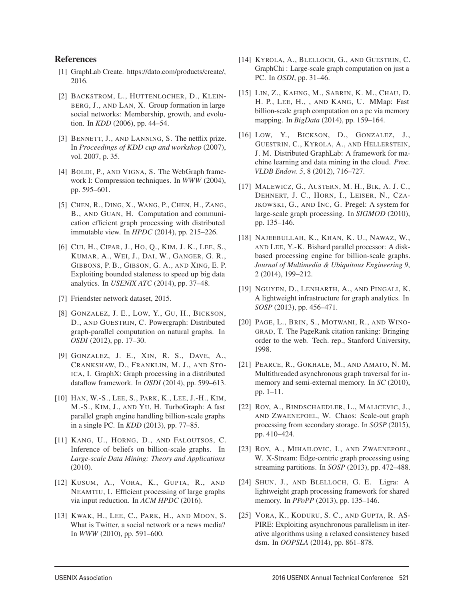## References

- [1] GraphLab Create. https://dato.com/products/create/, 2016.
- [2] BACKSTROM, L., HUTTENLOCHER, D., KLEIN-BERG, J., AND LAN, X. Group formation in large social networks: Membership, growth, and evolution. In *KDD* (2006), pp. 44–54.
- [3] BENNETT, J., AND LANNING, S. The netflix prize. In *Proceedings of KDD cup and workshop* (2007), vol. 2007, p. 35.
- [4] BOLDI, P., AND VIGNA, S. The WebGraph framework I: Compression techniques. In *WWW* (2004), pp. 595–601.
- [5] CHEN, R., DING, X., WANG, P., CHEN, H., ZANG, B., AND GUAN, H. Computation and communication efficient graph processing with distributed immutable view. In *HPDC* (2014), pp. 215–226.
- [6] CUI, H., CIPAR, J., HO, Q., KIM, J. K., LEE, S., KUMAR, A., WEI, J., DAI, W., GANGER, G. R., GIBBONS, P. B., GIBSON, G. A., AND XING, E. P. Exploiting bounded staleness to speed up big data analytics. In *USENIX ATC* (2014), pp. 37–48.
- [7] Friendster network dataset, 2015.
- [8] GONZALEZ, J. E., LOW, Y., GU, H., BICKSON, D., AND GUESTRIN, C. Powergraph: Distributed graph-parallel computation on natural graphs. In *OSDI* (2012), pp. 17–30.
- [9] GONZALEZ, J. E., XIN, R. S., DAVE, A., CRANKSHAW, D., FRANKLIN, M. J., AND STO-ICA, I. GraphX: Graph processing in a distributed dataflow framework. In *OSDI* (2014), pp. 599–613.
- [10] HAN, W.-S., LEE, S., PARK, K., LEE, J.-H., KIM, M.-S., KIM, J., AND YU, H. TurboGraph: A fast parallel graph engine handling billion-scale graphs in a single PC. In *KDD* (2013), pp. 77–85.
- [11] KANG, U., HORNG, D., AND FALOUTSOS, C. Inference of beliefs on billion-scale graphs. In *Large-scale Data Mining: Theory and Applications* (2010).
- [12] KUSUM, A., VORA, K., GUPTA, R., AND NEAMTIU, I. Efficient processing of large graphs via input reduction. In *ACM HPDC* (2016).
- [13] KWAK, H., LEE, C., PARK, H., AND MOON, S. What is Twitter, a social network or a news media? In *WWW* (2010), pp. 591–600.
- [14] KYROLA, A., BLELLOCH, G., AND GUESTRIN, C. GraphChi : Large-scale graph computation on just a PC. In *OSDI*, pp. 31–46.
- [15] LIN, Z., KAHNG, M., SABRIN, K. M., CHAU, D. H. P., LEE, H., , AND KANG, U. MMap: Fast billion-scale graph computation on a pc via memory mapping. In *BigData* (2014), pp. 159–164.
- [16] LOW, Y., BICKSON, D., GONZALEZ, J., GUESTRIN, C., KYROLA, A., AND HELLERSTEIN, J. M. Distributed GraphLab: A framework for machine learning and data mining in the cloud. *Proc. VLDB Endow. 5*, 8 (2012), 716–727.
- [17] MALEWICZ, G., AUSTERN, M. H., BIK, A. J. C., DEHNERT, J. C., HORN, I., LEISER, N., CZA-JKOWSKI, G., AND INC, G. Pregel: A system for large-scale graph processing. In *SIGMOD* (2010), pp. 135–146.
- [18] NAJEEBULLAH, K., KHAN, K. U., NAWAZ, W., AND LEE, Y.-K. Bishard parallel processor: A diskbased processing engine for billion-scale graphs. *Journal of Multimedia & Ubiquitous Engineering 9*, 2 (2014), 199–212.
- [19] NGUYEN, D., LENHARTH, A., AND PINGALI, K. A lightweight infrastructure for graph analytics. In *SOSP* (2013), pp. 456–471.
- [20] PAGE, L., BRIN, S., MOTWANI, R., AND WINO-GRAD, T. The PageRank citation ranking: Bringing order to the web. Tech. rep., Stanford University, 1998.
- [21] PEARCE, R., GOKHALE, M., AND AMATO, N. M. Multithreaded asynchronous graph traversal for inmemory and semi-external memory. In *SC* (2010), pp. 1–11.
- [22] ROY, A., BINDSCHAEDLER, L., MALICEVIC, J., AND ZWAENEPOEL, W. Chaos: Scale-out graph processing from secondary storage. In *SOSP* (2015), pp. 410–424.
- [23] ROY, A., MIHAILOVIC, I., AND ZWAENEPOEL, W. X-Stream: Edge-centric graph processing using streaming partitions. In *SOSP* (2013), pp. 472–488.
- [24] SHUN, J., AND BLELLOCH, G. E. Ligra: A lightweight graph processing framework for shared memory. In *PPoPP* (2013), pp. 135–146.
- [25] VORA, K., KODURU, S. C., AND GUPTA, R. AS-PIRE: Exploiting asynchronous parallelism in iterative algorithms using a relaxed consistency based dsm. In *OOPSLA* (2014), pp. 861–878.